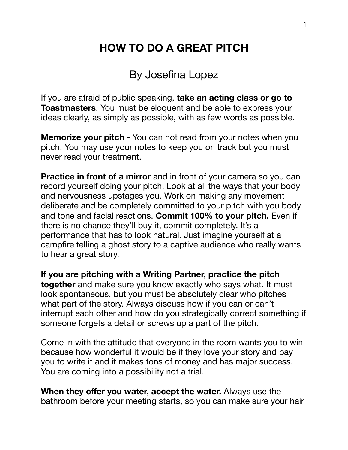## **HOW TO DO A GREAT PITCH**

By Josefina Lopez

If you are afraid of public speaking, **take an acting class or go to Toastmasters**. You must be eloquent and be able to express your ideas clearly, as simply as possible, with as few words as possible.

**Memorize your pitch** - You can not read from your notes when you pitch. You may use your notes to keep you on track but you must never read your treatment.

**Practice in front of a mirror** and in front of your camera so you can record yourself doing your pitch. Look at all the ways that your body and nervousness upstages you. Work on making any movement deliberate and be completely committed to your pitch with you body and tone and facial reactions. **Commit 100% to your pitch.** Even if there is no chance they'll buy it, commit completely. It's a performance that has to look natural. Just imagine yourself at a campfire telling a ghost story to a captive audience who really wants to hear a great story.

**If you are pitching with a Writing Partner, practice the pitch together** and make sure you know exactly who says what. It must look spontaneous, but you must be absolutely clear who pitches what part of the story. Always discuss how if you can or can't interrupt each other and how do you strategically correct something if someone forgets a detail or screws up a part of the pitch.

Come in with the attitude that everyone in the room wants you to win because how wonderful it would be if they love your story and pay you to write it and it makes tons of money and has major success. You are coming into a possibility not a trial.

**When they offer you water, accept the water.** Always use the bathroom before your meeting starts, so you can make sure your hair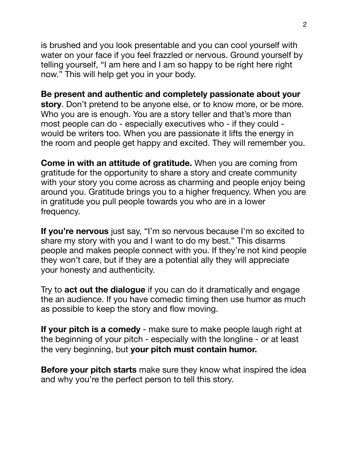is brushed and you look presentable and you can cool yourself with water on your face if you feel frazzled or nervous. Ground yourself by telling yourself, "I am here and I am so happy to be right here right now." This will help get you in your body.

**Be present and authentic and completely passionate about your story**. Don't pretend to be anyone else, or to know more, or be more. Who you are is enough. You are a story teller and that's more than most people can do - especially executives who - if they could would be writers too. When you are passionate it lifts the energy in the room and people get happy and excited. They will remember you.

**Come in with an attitude of gratitude.** When you are coming from gratitude for the opportunity to share a story and create community with your story you come across as charming and people enjoy being around you. Gratitude brings you to a higher frequency. When you are in gratitude you pull people towards you who are in a lower frequency.

**If you're nervous** just say, "I'm so nervous because I'm so excited to share my story with you and I want to do my best." This disarms people and makes people connect with you. If they're not kind people they won't care, but if they are a potential ally they will appreciate your honesty and authenticity.

Try to **act out the dialogue** if you can do it dramatically and engage the an audience. If you have comedic timing then use humor as much as possible to keep the story and flow moving.

**If your pitch is a comedy** - make sure to make people laugh right at the beginning of your pitch - especially with the longline - or at least the very beginning, but **your pitch must contain humor.** 

**Before your pitch starts** make sure they know what inspired the idea and why you're the perfect person to tell this story.